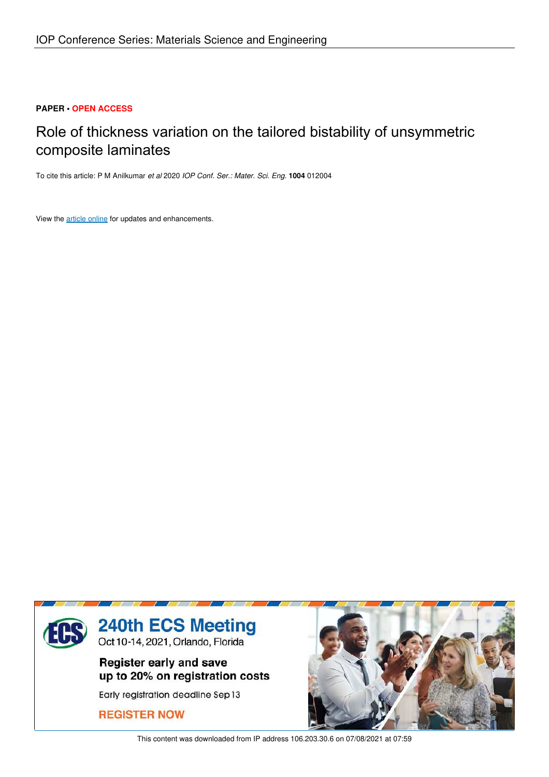# **PAPER • OPEN ACCESS**

# Role of thickness variation on the tailored bistability of unsymmetric composite laminates

To cite this article: P M Anilkumar *et al* 2020 *IOP Conf. Ser.: Mater. Sci. Eng.* **1004** 012004

View the article online for updates and enhancements.



This content was downloaded from IP address 106.203.30.6 on 07/08/2021 at 07:59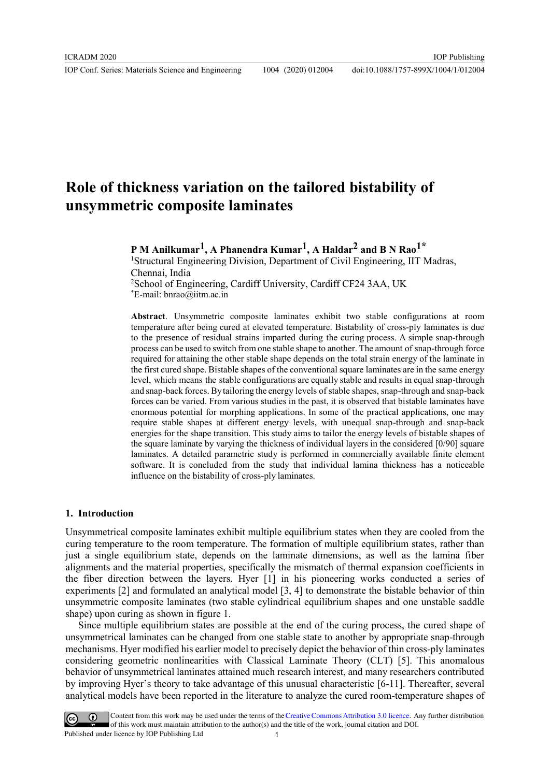# **Role of thickness variation on the tailored bistability of unsymmetric composite laminates**

**P M Anilkumar1, A Phanendra Kumar1, A Haldar2 and B N Rao1\*** <sup>1</sup>Structural Engineering Division, Department of Civil Engineering, IIT Madras, Chennai, India <sup>2</sup>School of Engineering, Cardiff University, Cardiff CF24 3AA, UK

\*E-mail: bnrao@iitm.ac.in

**Abstract**. Unsymmetric composite laminates exhibit two stable configurations at room temperature after being cured at elevated temperature. Bistability of cross-ply laminates is due to the presence of residual strains imparted during the curing process. A simple snap-through process can be used to switch from one stable shape to another. The amount of snap-through force required for attaining the other stable shape depends on the total strain energy of the laminate in the first cured shape. Bistable shapes of the conventional square laminates are in the same energy level, which means the stable configurations are equally stable and results in equal snap-through and snap-back forces. By tailoring the energy levels of stable shapes, snap-through and snap-back forces can be varied. From various studies in the past, it is observed that bistable laminates have enormous potential for morphing applications. In some of the practical applications, one may require stable shapes at different energy levels, with unequal snap-through and snap-back energies for the shape transition. This study aims to tailor the energy levels of bistable shapes of the square laminate by varying the thickness of individual layers in the considered [0/90] square laminates. A detailed parametric study is performed in commercially available finite element software. It is concluded from the study that individual lamina thickness has a noticeable influence on the bistability of cross-ply laminates.

#### **1. Introduction**

Unsymmetrical composite laminates exhibit multiple equilibrium states when they are cooled from the curing temperature to the room temperature. The formation of multiple equilibrium states, rather than just a single equilibrium state, depends on the laminate dimensions, as well as the lamina fiber alignments and the material properties, specifically the mismatch of thermal expansion coefficients in the fiber direction between the layers. Hyer [1] in his pioneering works conducted a series of experiments [2] and formulated an analytical model [3, 4] to demonstrate the bistable behavior of thin unsymmetric composite laminates (two stable cylindrical equilibrium shapes and one unstable saddle shape) upon curing as shown in figure 1.

 Since multiple equilibrium states are possible at the end of the curing process, the cured shape of unsymmetrical laminates can be changed from one stable state to another by appropriate snap-through mechanisms. Hyer modified his earlier model to precisely depict the behavior of thin cross-ply laminates considering geometric nonlinearities with Classical Laminate Theory (CLT) [5]. This anomalous behavior of unsymmetrical laminates attained much research interest, and many researchers contributed by improving Hyer's theory to take advantage of this unusual characteristic [6-11]. Thereafter, several analytical models have been reported in the literature to analyze the cured room-temperature shapes of

Content from this work may be used under the terms of the Creative Commons Attribution 3.0 licence. Any further distribution of this work must maintain attribution to the author(s) and the title of the work, journal citation and DOI. Published under licence by IOP Publishing Ltd 1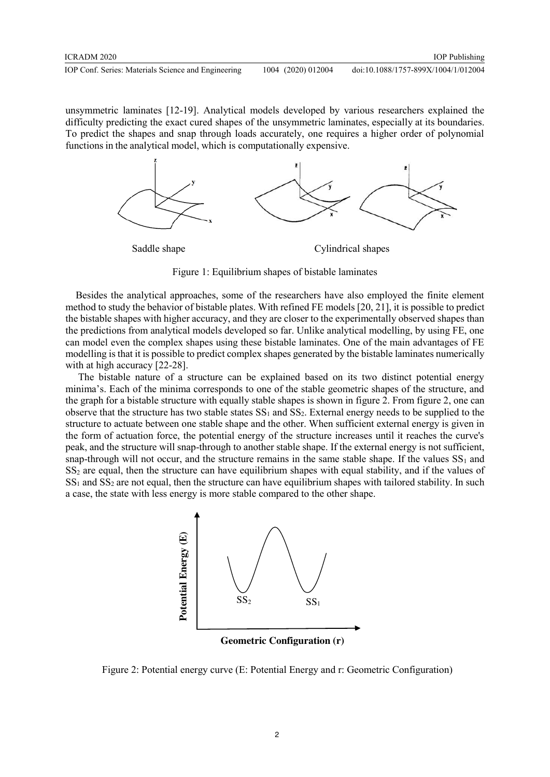unsymmetric laminates [12-19]. Analytical models developed by various researchers explained the difficulty predicting the exact cured shapes of the unsymmetric laminates, especially at its boundaries. To predict the shapes and snap through loads accurately, one requires a higher order of polynomial functions in the analytical model, which is computationally expensive.



Figure 1: Equilibrium shapes of bistable laminates

 Besides the analytical approaches, some of the researchers have also employed the finite element method to study the behavior of bistable plates. With refined FE models [20, 21], it is possible to predict the bistable shapes with higher accuracy, and they are closer to the experimentally observed shapes than the predictions from analytical models developed so far. Unlike analytical modelling, by using FE, one can model even the complex shapes using these bistable laminates. One of the main advantages of FE modelling is that it is possible to predict complex shapes generated by the bistable laminates numerically with at high accuracy [22-28].

 The bistable nature of a structure can be explained based on its two distinct potential energy minima's. Each of the minima corresponds to one of the stable geometric shapes of the structure, and the graph for a bistable structure with equally stable shapes is shown in figure 2. From figure 2, one can observe that the structure has two stable states  $SS_1$  and  $SS_2$ . External energy needs to be supplied to the structure to actuate between one stable shape and the other. When sufficient external energy is given in the form of actuation force, the potential energy of the structure increases until it reaches the curve's peak, and the structure will snap-through to another stable shape. If the external energy is not sufficient, snap-through will not occur, and the structure remains in the same stable shape. If the values  $SS<sub>1</sub>$  and  $SS<sub>2</sub>$  are equal, then the structure can have equilibrium shapes with equal stability, and if the values of  $SS<sub>1</sub>$  and  $SS<sub>2</sub>$  are not equal, then the structure can have equilibrium shapes with tailored stability. In such a case, the state with less energy is more stable compared to the other shape.



**Geometric Configuration (r)** 

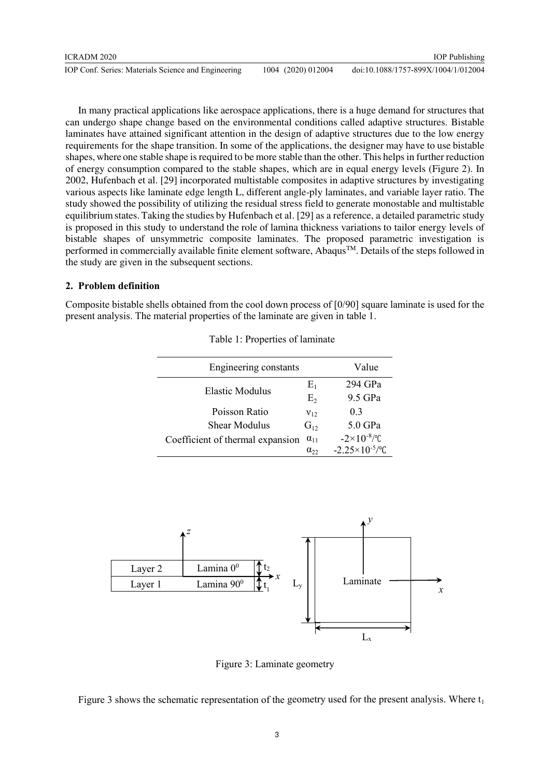In many practical applications like aerospace applications, there is a huge demand for structures that can undergo shape change based on the environmental conditions called adaptive structures. Bistable laminates have attained significant attention in the design of adaptive structures due to the low energy requirements for the shape transition. In some of the applications, the designer may have to use bistable shapes, where one stable shape is required to be more stable than the other. This helps in further reduction of energy consumption compared to the stable shapes, which are in equal energy levels (Figure 2). In 2002, Hufenbach et al. [29] incorporated multistable composites in adaptive structures by investigating various aspects like laminate edge length L, different angle-ply laminates, and variable layer ratio. The study showed the possibility of utilizing the residual stress field to generate monostable and multistable equilibrium states. Taking the studies by Hufenbach et al. [29] as a reference, a detailed parametric study is proposed in this study to understand the role of lamina thickness variations to tailor energy levels of bistable shapes of unsymmetric composite laminates. The proposed parametric investigation is performed in commercially available finite element software, Abaqus<sup>TM</sup>. Details of the steps followed in the study are given in the subsequent sections.

### **2. Problem definition**

Composite bistable shells obtained from the cool down process of [0/90] square laminate is used for the present analysis. The material properties of the laminate are given in table 1.

| Engineering constants            | Value         |                            |
|----------------------------------|---------------|----------------------------|
| <b>Elastic Modulus</b>           | $E_1$         | 294 GPa                    |
|                                  | $E_{2}$       | 9.5 GPa                    |
| Poisson Ratio                    | $V_{12}$      | 0 <sup>3</sup>             |
| <b>Shear Modulus</b>             | $G_{12}$      | $5.0$ GPa                  |
| Coefficient of thermal expansion | $\alpha_{11}$ | $-2\times10^{-8}/$ °C      |
|                                  | $\alpha_{22}$ | $-2.25 \times 10^{-5}$ /°C |

Table 1: Properties of laminate



Figure 3: Laminate geometry

Figure 3 shows the schematic representation of the geometry used for the present analysis. Where  $t_1$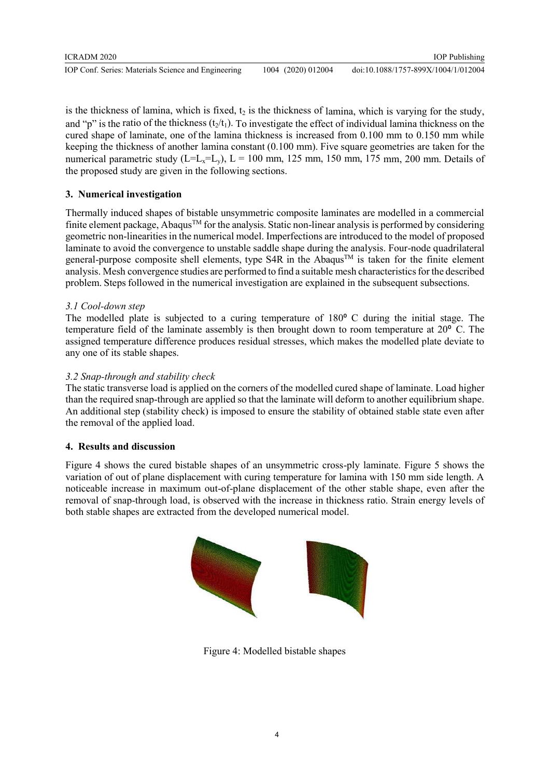| <b>ICRADM 2020</b>                                  |                    | <b>IOP</b> Publishing               |
|-----------------------------------------------------|--------------------|-------------------------------------|
| IOP Conf. Series: Materials Science and Engineering | 1004 (2020) 012004 | doi:10.1088/1757-899X/1004/1/012004 |

is the thickness of lamina, which is fixed,  $t_2$  is the thickness of lamina, which is varying for the study, and "p" is the ratio of the thickness  $(t_2/t_1)$ . To investigate the effect of individual lamina thickness on the cured shape of laminate, one of the lamina thickness is increased from 0.100 mm to 0.150 mm while keeping the thickness of another lamina constant (0.100 mm). Five square geometries are taken for the numerical parametric study ( $L=L_x=L_y$ ),  $L = 100$  mm, 125 mm, 150 mm, 175 mm, 200 mm. Details of the proposed study are given in the following sections.

# **3. Numerical investigation**

Thermally induced shapes of bistable unsymmetric composite laminates are modelled in a commercial finite element package, Abaqus<sup>TM</sup> for the analysis. Static non-linear analysis is performed by considering geometric non-linearities in the numerical model. Imperfections are introduced to the model of proposed laminate to avoid the convergence to unstable saddle shape during the analysis. Four-node quadrilateral general-purpose composite shell elements, type S4R in the Abaqus<sup>TM</sup> is taken for the finite element analysis. Mesh convergence studies are performed to find a suitable mesh characteristics for the described problem. Steps followed in the numerical investigation are explained in the subsequent subsections.

# *3.1 Cool-down step*

The modelled plate is subjected to a curing temperature of 180<sup>°</sup> C during the initial stage. The temperature field of the laminate assembly is then brought down to room temperature at  $20^{\circ}$  C. The assigned temperature difference produces residual stresses, which makes the modelled plate deviate to any one of its stable shapes.

# *3.2 Snap-through and stability check*

The static transverse load is applied on the corners of the modelled cured shape of laminate. Load higher than the required snap-through are applied so that the laminate will deform to another equilibrium shape. An additional step (stability check) is imposed to ensure the stability of obtained stable state even after the removal of the applied load.

# **4. Results and discussion**

Figure 4 shows the cured bistable shapes of an unsymmetric cross-ply laminate. Figure 5 shows the variation of out of plane displacement with curing temperature for lamina with 150 mm side length. A noticeable increase in maximum out-of-plane displacement of the other stable shape, even after the removal of snap-through load, is observed with the increase in thickness ratio. Strain energy levels of both stable shapes are extracted from the developed numerical model.



Figure 4: Modelled bistable shapes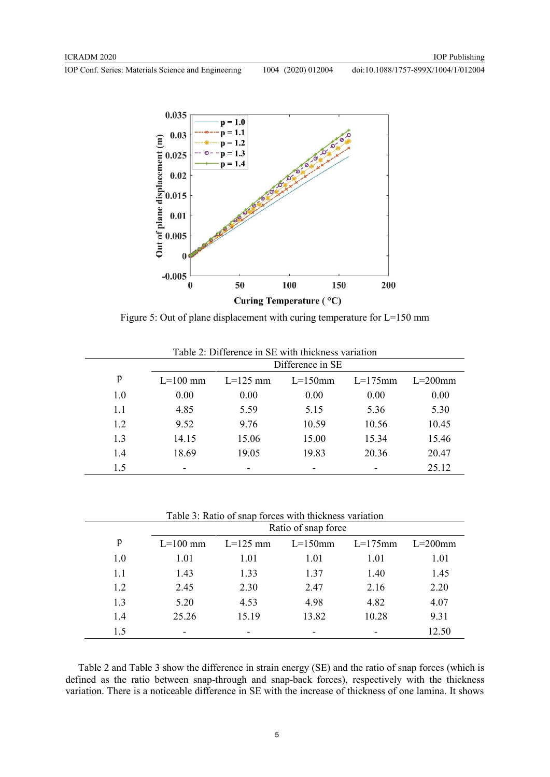

Figure 5: Out of plane displacement with curing temperature for L=150 mm

|     | Difference in SE |            |            |            |            |
|-----|------------------|------------|------------|------------|------------|
| p   | $L = 100$ mm     | $L=125$ mm | $L=150$ mm | $L=175$ mm | $L=200$ mm |
| 1.0 | 0.00             | 0.00       | 0.00       | 0.00       | 0.00       |
| 1.1 | 4.85             | 5.59       | 5.15       | 5.36       | 5.30       |
| 1.2 | 9.52             | 9.76       | 10.59      | 10.56      | 10.45      |
| 1.3 | 14.15            | 15.06      | 15.00      | 15.34      | 15.46      |
| 1.4 | 18.69            | 19.05      | 19.83      | 20.36      | 20.47      |
| 1.5 | ٠                |            |            |            | 25.12      |

Table 2: Difference in SE with thickness variation

Table 3: Ratio of snap forces with thickness variation

|     | Ratio of snap force      |            |                          |            |            |
|-----|--------------------------|------------|--------------------------|------------|------------|
| p   | $L=100$ mm               | $L=125$ mm | $L=150$ mm               | $L=175$ mm | $L=200$ mm |
| 1.0 | 1.01                     | 1.01       | 1.01                     | 1.01       | 1.01       |
| 1.1 | 1.43                     | 1.33       | 1.37                     | 1.40       | 1.45       |
| 1.2 | 2.45                     | 2.30       | 2.47                     | 2.16       | 2.20       |
| 1.3 | 5.20                     | 4.53       | 4.98                     | 4.82       | 4.07       |
| 1.4 | 25.26                    | 15.19      | 13.82                    | 10.28      | 9.31       |
| 1.5 | $\overline{\phantom{0}}$ |            | $\overline{\phantom{0}}$ |            | 12.50      |

 Table 2 and Table 3 show the difference in strain energy (SE) and the ratio of snap forces (which is defined as the ratio between snap-through and snap-back forces), respectively with the thickness variation. There is a noticeable difference in SE with the increase of thickness of one lamina. It shows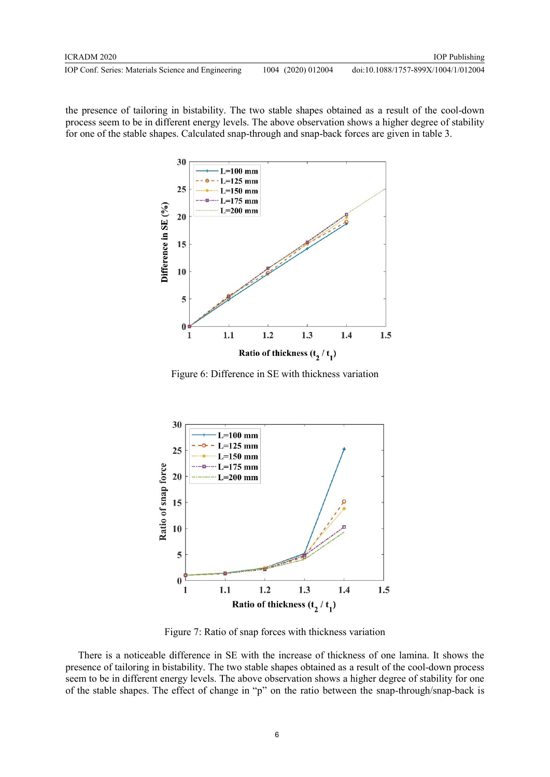the presence of tailoring in bistability. The two stable shapes obtained as a result of the cool-down process seem to be in different energy levels. The above observation shows a higher degree of stability for one of the stable shapes. Calculated snap-through and snap-back forces are given in table 3.



Figure 6: Difference in SE with thickness variation



Figure 7: Ratio of snap forces with thickness variation

 There is a noticeable difference in SE with the increase of thickness of one lamina. It shows the presence of tailoring in bistability. The two stable shapes obtained as a result of the cool-down process seem to be in different energy levels. The above observation shows a higher degree of stability for one of the stable shapes. The effect of change in "p" on the ratio between the snap-through/snap-back is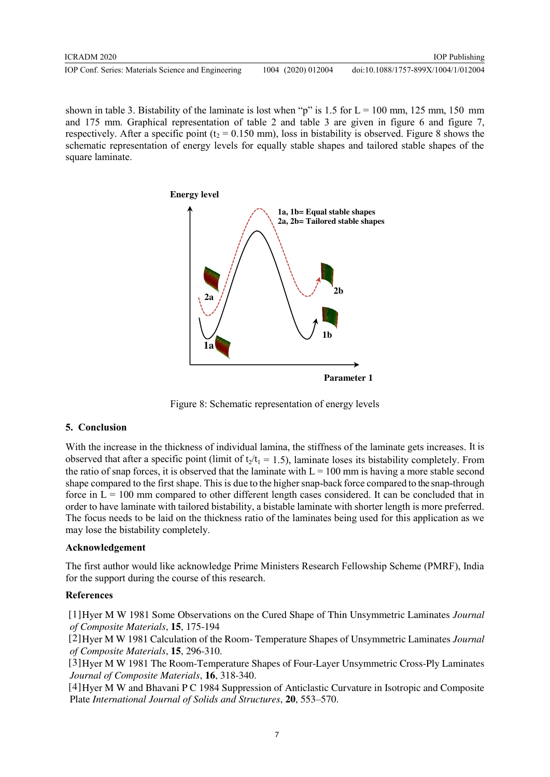| ICRADM 2020                                         |                    | <b>IOP</b> Publishing               |
|-----------------------------------------------------|--------------------|-------------------------------------|
| IOP Conf. Series: Materials Science and Engineering | 1004 (2020) 012004 | doi:10.1088/1757-899X/1004/1/012004 |

shown in table 3. Bistability of the laminate is lost when "p" is 1.5 for  $L = 100$  mm, 125 mm, 150 mm and 175 mm. Graphical representation of table 2 and table 3 are given in figure 6 and figure 7, respectively. After a specific point ( $t_2 = 0.150$  mm), loss in bistability is observed. Figure 8 shows the schematic representation of energy levels for equally stable shapes and tailored stable shapes of the square laminate.



Figure 8: Schematic representation of energy levels

# **5. Conclusion**

With the increase in the thickness of individual lamina, the stiffness of the laminate gets increases. It is observed that after a specific point (limit of  $t_2/t_1 = 1.5$ ), laminate loses its bistability completely. From the ratio of snap forces, it is observed that the laminate with  $L = 100$  mm is having a more stable second shape compared to the first shape. This is due to the higher snap-back force compared to the snap-through force in  $L = 100$  mm compared to other different length cases considered. It can be concluded that in order to have laminate with tailored bistability, a bistable laminate with shorter length is more preferred. The focus needs to be laid on the thickness ratio of the laminates being used for this application as we may lose the bistability completely.

# **Acknowledgement**

The first author would like acknowledge Prime Ministers Research Fellowship Scheme (PMRF), India for the support during the course of this research.

# **References**

 [1]Hyer M W 1981 Some Observations on the Cured Shape of Thin Unsymmetric Laminates *Journal of Composite Materials*, **15**, 175-194

 [2]Hyer M W 1981 Calculation of the Room- Temperature Shapes of Unsymmetric Laminates *Journal of Composite Materials*, **15**, 296-310.

 [3]Hyer M W 1981 The Room-Temperature Shapes of Four-Layer Unsymmetric Cross-Ply Laminates *Journal of Composite Materials*, **16**, 318-340.

 [4]Hyer M W and Bhavani P C 1984 Suppression of Anticlastic Curvature in Isotropic and Composite Plate *International Journal of Solids and Structures*, **20**, 553–570.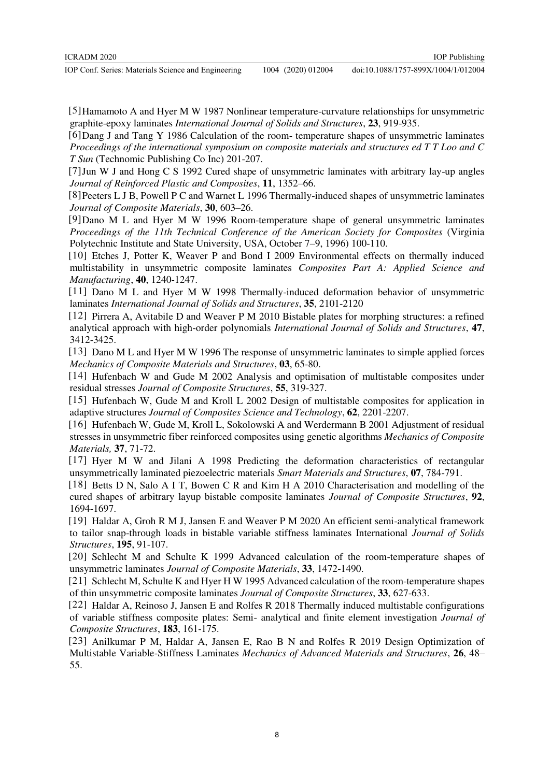doi:10.1088/1757-899X/1004/1/012004

 [5]Hamamoto A and Hyer M W 1987 Nonlinear temperature-curvature relationships for unsymmetric graphite-epoxy laminates *International Journal of Solids and Structures*, **23**, 919-935.

 [6]Dang J and Tang Y 1986 Calculation of the room- temperature shapes of unsymmetric laminates *Proceedings of the international symposium on composite materials and structures ed T T Loo and C T Sun* (Technomic Publishing Co Inc) 201-207.

 [7]Jun W J and Hong C S 1992 Cured shape of unsymmetric laminates with arbitrary lay-up angles *Journal of Reinforced Plastic and Composites*, **11**, 1352–66.

 [8]Peeters L J B, Powell P C and Warnet L 1996 Thermally-induced shapes of unsymmetric laminates *Journal of Composite Materials*, **30**, 603–26.

 [9]Dano M L and Hyer M W 1996 Room-temperature shape of general unsymmetric laminates *Proceedings of the 11th Technical Conference of the American Society for Composites* (Virginia Polytechnic Institute and State University, USA, October 7–9, 1996) 100-110.

 [10] Etches J, Potter K, Weaver P and Bond I 2009 Environmental effects on thermally induced multistability in unsymmetric composite laminates *Composites Part A: Applied Science and Manufacturing*, **40**, 1240-1247.

 [11] Dano M L and Hyer M W 1998 Thermally-induced deformation behavior of unsymmetric laminates *International Journal of Solids and Structures*, **35**, 2101-2120

 [12] Pirrera A, Avitabile D and Weaver P M 2010 Bistable plates for morphing structures: a refined analytical approach with high-order polynomials *International Journal of Solids and Structures*, **47**, 3412-3425.

 [13] Dano M L and Hyer M W 1996 The response of unsymmetric laminates to simple applied forces *Mechanics of Composite Materials and Structures*, **03**, 65-80.

 [14] Hufenbach W and Gude M 2002 Analysis and optimisation of multistable composites under residual stresses *Journal of Composite Structures*, **55**, 319-327.

 [15] Hufenbach W, Gude M and Kroll L 2002 Design of multistable composites for application in adaptive structures *Journal of Composites Science and Technology*, **62**, 2201-2207.

 [16] Hufenbach W, Gude M, Kroll L, Sokolowski A and Werdermann B 2001 Adjustment of residual stresses in unsymmetric fiber reinforced composites using genetic algorithms *Mechanics of Composite Materials,* **37**, 71-72.

 [17] Hyer M W and Jilani A 1998 Predicting the deformation characteristics of rectangular unsymmetrically laminated piezoelectric materials *Smart Materials and Structures*, **07**, 784-791.

[18] Betts D N, Salo A I T, Bowen C R and Kim H A 2010 Characterisation and modelling of the cured shapes of arbitrary layup bistable composite laminates *Journal of Composite Structures*, **92**, 1694-1697.

 [19] Haldar A, Groh R M J, Jansen E and Weaver P M 2020 An efficient semi-analytical framework to tailor snap-through loads in bistable variable stiffness laminates International *Journal of Solids Structures*, **195**, 91-107.

 [20] Schlecht M and Schulte K 1999 Advanced calculation of the room-temperature shapes of unsymmetric laminates *Journal of Composite Materials*, **33**, 1472-1490.

 [21] Schlecht M, Schulte K and Hyer H W 1995 Advanced calculation of the room-temperature shapes of thin unsymmetric composite laminates *Journal of Composite Structures*, **33**, 627-633.

 [22] Haldar A, Reinoso J, Jansen E and Rolfes R 2018 Thermally induced multistable configurations of variable stiffness composite plates: Semi- analytical and finite element investigation *Journal of Composite Structures*, **183**, 161-175.

 [23] Anilkumar P M, Haldar A, Jansen E, Rao B N and Rolfes R 2019 Design Optimization of Multistable Variable-Stiffness Laminates *Mechanics of Advanced Materials and Structures*, **26**, 48– 55.